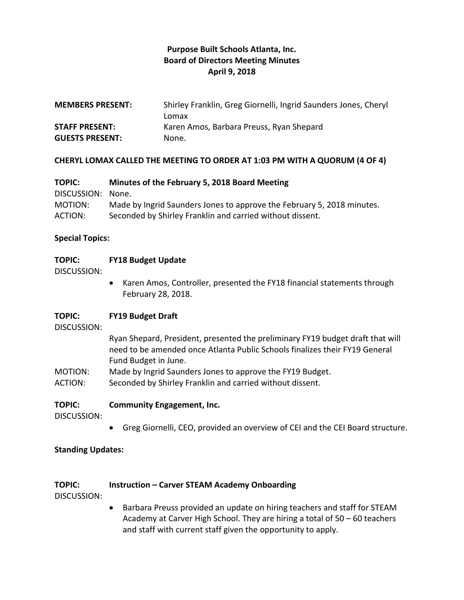## **Purpose Built Schools Atlanta, Inc. Board of Directors Meeting Minutes April 9, 2018**

| <b>MEMBERS PRESENT:</b> | Shirley Franklin, Greg Giornelli, Ingrid Saunders Jones, Cheryl |
|-------------------------|-----------------------------------------------------------------|
|                         | Lomax                                                           |
| <b>STAFF PRESENT:</b>   | Karen Amos, Barbara Preuss, Ryan Shepard                        |
| <b>GUESTS PRESENT:</b>  | None.                                                           |

#### **CHERYL LOMAX CALLED THE MEETING TO ORDER AT 1:03 PM WITH A QUORUM (4 OF 4)**

| <b>TOPIC:</b>     | Minutes of the February 5, 2018 Board Meeting                          |
|-------------------|------------------------------------------------------------------------|
| DISCUSSION: None. |                                                                        |
| MOTION:           | Made by Ingrid Saunders Jones to approve the February 5, 2018 minutes. |
| ACTION:           | Seconded by Shirley Franklin and carried without dissent.              |

#### **Special Topics:**

#### **TOPIC: FY18 Budget Update**

DISCUSSION:

 Karen Amos, Controller, presented the FY18 financial statements through February 28, 2018.

#### **TOPIC: FY19 Budget Draft**

DISCUSSION:

Ryan Shepard, President, presented the preliminary FY19 budget draft that will need to be amended once Atlanta Public Schools finalizes their FY19 General Fund Budget in June.

- MOTION: Made by Ingrid Saunders Jones to approve the FY19 Budget.
- ACTION: Seconded by Shirley Franklin and carried without dissent.

### **TOPIC: Community Engagement, Inc.**

DISCUSSION:

Greg Giornelli, CEO, provided an overview of CEI and the CEI Board structure.

#### **Standing Updates:**

#### **TOPIC: Instruction – Carver STEAM Academy Onboarding**

DISCUSSION:

• Barbara Preuss provided an update on hiring teachers and staff for STEAM Academy at Carver High School. They are hiring a total of 50 – 60 teachers and staff with current staff given the opportunity to apply.